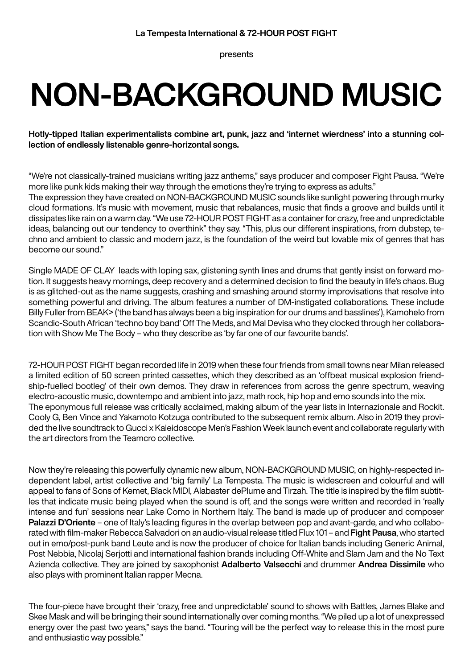presents

## **NON-BACKGROUND MUSIC**

**Hotly-tipped Italian experimentalists combine art, punk, jazz and 'internet wierdness' into a stunning collection of endlessly listenable genre-horizontal songs.** 

"We're not classically-trained musicians writing jazz anthems," says producer and composer Fight Pausa. "We're more like punk kids making their way through the emotions they're trying to express as adults." The expression they have created on NON-BACKGROUND MUSIC sounds like sunlight powering through murky cloud formations. It's music with movement, music that rebalances, music that finds a groove and builds until it dissipates like rain on a warm day. "We use 72-HOUR POST FIGHT as a container for crazy, free and unpredictable ideas, balancing out our tendency to overthink" they say. "This, plus our different inspirations, from dubstep, techno and ambient to classic and modern jazz, is the foundation of the weird but lovable mix of genres that has become our sound."

Single MADE OF CLAY leads with loping sax, glistening synth lines and drums that gently insist on forward motion. It suggests heavy mornings, deep recovery and a determined decision to find the beauty in life's chaos. Bug is as glitched-out as the name suggests, crashing and smashing around stormy improvisations that resolve into something powerful and driving. The album features a number of DM-instigated collaborations. These include Billy Fuller from BEAK> ('the band has always been a big inspiration for our drums and basslines'), Kamohelo from Scandic-South African 'techno boy band' Off The Meds, and Mal Devisa who they clocked through her collaboration with Show Me The Body – who they describe as 'by far one of our favourite bands'.

72-HOUR POST FIGHT began recorded life in 2019 when these four friends from small towns near Milan released a limited edition of 50 screen printed cassettes, which they described as an 'offbeat musical explosion friendship-fuelled bootleg' of their own demos. They draw in references from across the genre spectrum, weaving electro-acoustic music, downtempo and ambient into jazz, math rock, hip hop and emo sounds into the mix. The eponymous full release was critically acclaimed, making album of the year lists in Internazionale and Rockit. Cooly G, Ben Vince and Yakamoto Kotzuga contributed to the subsequent remix album. Also in 2019 they provided the live soundtrack to Gucci x Kaleidoscope Men's Fashion Week launch event and collaborate regularly with the art directors from the Teamcro collective.

Now they're releasing this powerfully dynamic new album, NON-BACKGROUND MUSIC, on highly-respected independent label, artist collective and 'big family' La Tempesta. The music is widescreen and colourful and will appeal to fans of Sons of Kemet, Black MIDI, Alabaster dePlume and Tirzah. The title is inspired by the film subtitles that indicate music being played when the sound is off, and the songs were written and recorded in 'really intense and fun' sessions near Lake Como in Northern Italy. The band is made up of producer and composer **Palazzi D'Oriente** – one of Italy's leading figures in the overlap between pop and avant-garde, and who collaborated with film-maker Rebecca Salvadori on an audio-visual release titled Flux 101 – and **Fight Pausa**, who started out in emo/post-punk band Leute and is now the producer of choice for Italian bands including Generic Animal, Post Nebbia, Nicolaj Serjotti and international fashion brands including Off-White and Slam Jam and the No Text Azienda collective. They are joined by saxophonist **Adalberto Valsecchi** and drummer **Andrea Dissimile** who also plays with prominent Italian rapper Mecna.

The four-piece have brought their 'crazy, free and unpredictable' sound to shows with Battles, James Blake and Skee Mask and will be bringing their sound internationally over coming months. "We piled up a lot of unexpressed energy over the past two years," says the band. "Touring will be the perfect way to release this in the most pure and enthusiastic way possible."